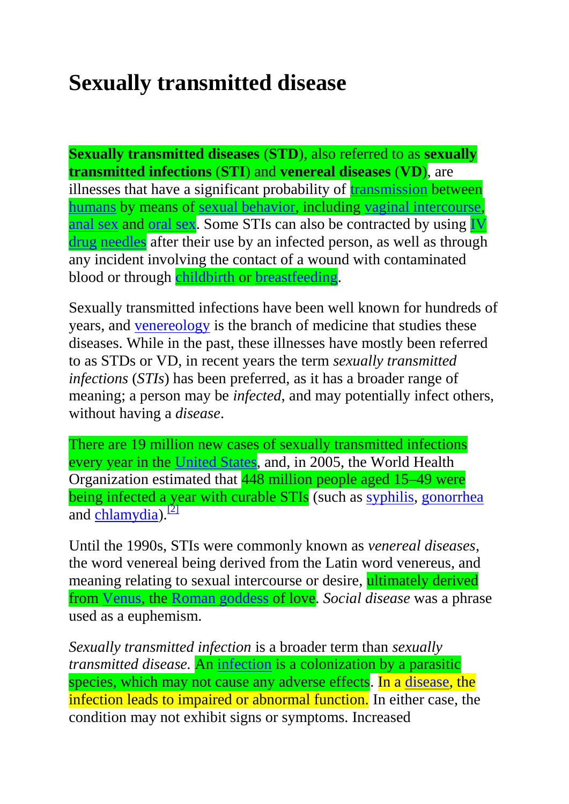# **Sexually transmitted disease**

**Sexually transmitted diseases** (**STD**), also referred to as **sexually transmitted infections** (**STI**) and **venereal diseases** (**VD**), are illnesses that have a significant probability of [transmission](http://en.wikipedia.org/wiki/Transmission_%28medicine%29) between [humans](http://en.wikipedia.org/wiki/Human) by means of [sexual behavior,](http://en.wikipedia.org/wiki/Human_sexual_activity) including [vaginal intercourse,](http://en.wikipedia.org/wiki/Sexual_intercourse) [anal sex](http://en.wikipedia.org/wiki/Anal_sex) and [oral sex.](http://en.wikipedia.org/wiki/Oral_sex) Some STIs can also be contracted by using IV [drug](http://en.wikipedia.org/wiki/Drug_injection) [needles](http://en.wikipedia.org/wiki/Hypodermic_needle) after their use by an infected person, as well as through any incident involving the contact of a wound with contaminated blood or through [childbirth](http://en.wikipedia.org/wiki/Childbirth) or [breastfeeding.](http://en.wikipedia.org/wiki/Breastfeeding)

Sexually transmitted infections have been well known for hundreds of years, and [venereology](http://en.wikipedia.org/wiki/Venereology) is the branch of medicine that studies these diseases. While in the past, these illnesses have mostly been referred to as STDs or VD, in recent years the term *sexually transmitted infections* (*STIs*) has been preferred, as it has a broader range of meaning; a person may be *infected*, and may potentially infect others, without having a *disease*.

There are 19 million new cases of sexually transmitted infections every year in the [United States,](http://en.wikipedia.org/wiki/United_States) and, in 2005, the World Health Organization estimated that 448 million people aged 15–49 were being infected a year with curable STIs (such as [syphilis,](http://en.wikipedia.org/wiki/Syphilis) [gonorrhea](http://en.wikipedia.org/wiki/Gonorrhea) and [chlamydia\)](http://en.wikipedia.org/wiki/Chlamydia_infection). $^{[2]}$  $^{[2]}$  $^{[2]}$ 

Until the 1990s, STIs were commonly known as *venereal diseases*, the word venereal being derived from the Latin word venereus, and meaning relating to sexual intercourse or desire, ultimately derived from [Venus,](http://en.wikipedia.org/wiki/Venus_%28mythology%29) the [Roman goddess](http://en.wikipedia.org/wiki/Roman_mythology) of love. *Social disease* was a phrase used as a euphemism.

*Sexually transmitted infection* is a broader term than *sexually transmitted disease.* An [infection](http://en.wikipedia.org/wiki/Infection) is a colonization by a parasitic species, which may not cause any adverse effects. In a [disease,](http://en.wikipedia.org/wiki/Disease) the infection leads to impaired or abnormal function. In either case, the condition may not exhibit signs or symptoms. Increased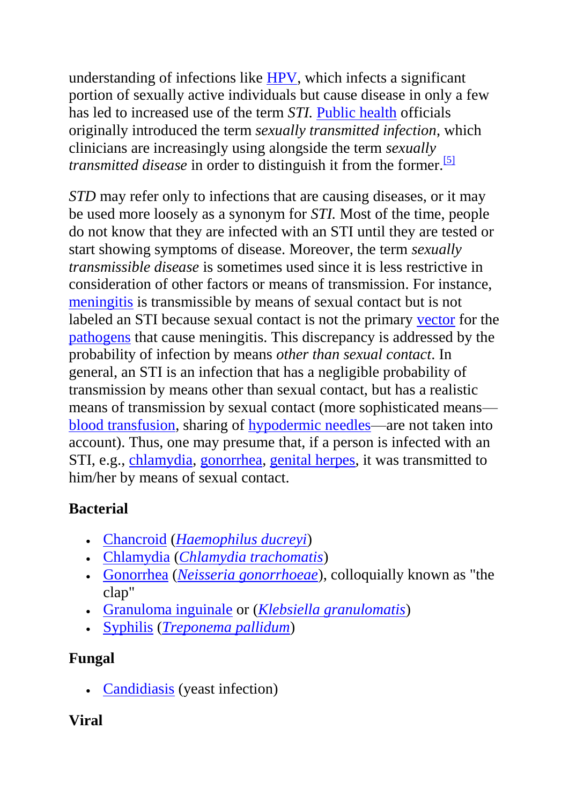understanding of infections like [HPV,](http://en.wikipedia.org/wiki/Human_papillomavirus) which infects a significant portion of sexually active individuals but cause disease in only a few has led to increased use of the term *STI.* [Public health](http://en.wikipedia.org/wiki/Public_health) officials originally introduced the term *sexually transmitted infection*, which clinicians are increasingly using alongside the term *sexually transmitted disease* in order to distinguish it from the former.<sup>[\[5\]](http://en.wikipedia.org/wiki/Sexually_transmitted_disease#cite_note-5)</sup>

*STD* may refer only to infections that are causing diseases, or it may be used more loosely as a synonym for *STI.* Most of the time, people do not know that they are infected with an STI until they are tested or start showing symptoms of disease. Moreover, the term *sexually transmissible disease* is sometimes used since it is less restrictive in consideration of other factors or means of transmission. For instance, [meningitis](http://en.wikipedia.org/wiki/Meningitis) is transmissible by means of sexual contact but is not labeled an STI because sexual contact is not the primary [vector](http://en.wikipedia.org/wiki/Vector_%28epidemiology%29) for the [pathogens](http://en.wikipedia.org/wiki/Pathogen) that cause meningitis. This discrepancy is addressed by the probability of infection by means *other than sexual contact*. In general, an STI is an infection that has a negligible probability of transmission by means other than sexual contact, but has a realistic means of transmission by sexual contact (more sophisticated means [blood transfusion,](http://en.wikipedia.org/wiki/Blood_transfusion) sharing of [hypodermic needles—](http://en.wikipedia.org/wiki/Hypodermic_needle)are not taken into account). Thus, one may presume that, if a person is infected with an STI, e.g., [chlamydia,](http://en.wikipedia.org/wiki/Chlamydia_infection) [gonorrhea,](http://en.wikipedia.org/wiki/Gonorrhea) [genital herpes,](http://en.wikipedia.org/wiki/Genital_herpes) it was transmitted to him/her by means of sexual contact.

# **Bacterial**

- [Chancroid](http://en.wikipedia.org/wiki/Chancroid) (*[Haemophilus ducreyi](http://en.wikipedia.org/wiki/Haemophilus_ducreyi)*)
- [Chlamydia](http://en.wikipedia.org/wiki/Chlamydia_infection) (*[Chlamydia trachomatis](http://en.wikipedia.org/wiki/Chlamydia_trachomatis)*)
- [Gonorrhea](http://en.wikipedia.org/wiki/Gonorrhea) (*[Neisseria gonorrhoeae](http://en.wikipedia.org/wiki/Neisseria_gonorrhoeae)*), colloquially known as "the clap"
- [Granuloma inguinale](http://en.wikipedia.org/wiki/Granuloma_inguinale) or (*[Klebsiella granulomatis](http://en.wikipedia.org/wiki/Klebsiella_granulomatis)*)
- [Syphilis](http://en.wikipedia.org/wiki/Syphilis) (*[Treponema pallidum](http://en.wikipedia.org/wiki/Treponema_pallidum)*)

# **Fungal**

[Candidiasis](http://en.wikipedia.org/wiki/Candidiasis) (yeast infection)

# **Viral**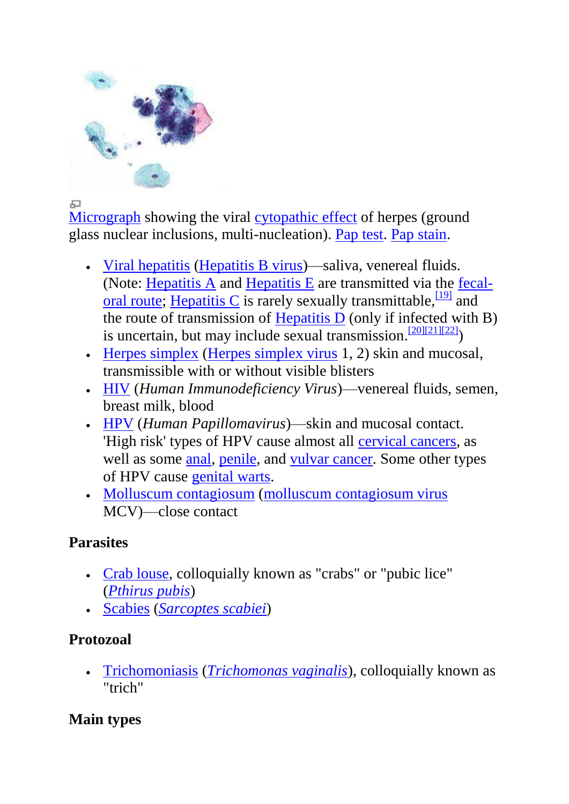

급

[Micrograph](http://en.wikipedia.org/wiki/Micrograph) showing the viral [cytopathic effect](http://en.wikipedia.org/wiki/Cytopathic_effect) of herpes (ground glass nuclear inclusions, multi-nucleation). [Pap test.](http://en.wikipedia.org/wiki/Pap_test) [Pap stain.](http://en.wikipedia.org/wiki/Pap_stain)

- [Viral hepatitis](http://en.wikipedia.org/wiki/Viral_hepatitis) [\(Hepatitis B virus\)](http://en.wikipedia.org/wiki/Hepatitis_B_virus)—saliva, venereal fluids. (Note: [Hepatitis A](http://en.wikipedia.org/wiki/Hepatitis_A) and [Hepatitis E](http://en.wikipedia.org/wiki/Hepatitis_E) are transmitted via the [fecal](http://en.wikipedia.org/wiki/Fecal-oral_route)[oral route;](http://en.wikipedia.org/wiki/Fecal-oral_route) [Hepatitis C](http://en.wikipedia.org/wiki/Hepatitis_C) is rarely sexually transmittable,  $\frac{19}{9}$  and the route of transmission of Hepatitis  $\overline{D}$  (only if infected with B) is uncertain, but may include sexual transmission.<sup>[\[20\]\[21\]](http://en.wikipedia.org/wiki/Sexually_transmitted_disease#cite_note-20)[\[22\]](http://en.wikipedia.org/wiki/Sexually_transmitted_disease#cite_note-22)</sup>)
- [Herpes simplex](http://en.wikipedia.org/wiki/Herpes_simplex) [\(Herpes simplex virus](http://en.wikipedia.org/wiki/Herpes_simplex_virus) 1, 2) skin and mucosal, transmissible with or without visible blisters
- [HIV](http://en.wikipedia.org/wiki/HIV) (*Human Immunodeficiency Virus*)—venereal fluids, semen, breast milk, blood
- [HPV](http://en.wikipedia.org/wiki/HPV) (*Human Papillomavirus*)—skin and mucosal contact. 'High risk' types of HPV cause almost all [cervical cancers,](http://en.wikipedia.org/wiki/Cervical_cancer) as well as some [anal,](http://en.wikipedia.org/wiki/Anal_cancer) [penile,](http://en.wikipedia.org/wiki/Penile_cancer) and [vulvar cancer.](http://en.wikipedia.org/wiki/Vulvar_cancer) Some other types of HPV cause [genital warts.](http://en.wikipedia.org/wiki/Genital_warts)
- [Molluscum contagiosum](http://en.wikipedia.org/wiki/Molluscum_contagiosum) [\(molluscum contagiosum virus](http://en.wikipedia.org/wiki/Molluscum_contagiosum_virus) MCV)—close contact

### **Parasites**

- [Crab louse,](http://en.wikipedia.org/wiki/Crab_louse) colloquially known as "crabs" or "pubic lice" (*[Pthirus pubis](http://en.wikipedia.org/wiki/Pthirus_pubis)*)
- [Scabies](http://en.wikipedia.org/wiki/Scabies) (*[Sarcoptes scabiei](http://en.wikipedia.org/wiki/Sarcoptes_scabiei)*)

# **Protozoal**

 [Trichomoniasis](http://en.wikipedia.org/wiki/Trichomoniasis) (*[Trichomonas vaginalis](http://en.wikipedia.org/wiki/Trichomonas_vaginalis)*), colloquially known as "trich"

# **Main types**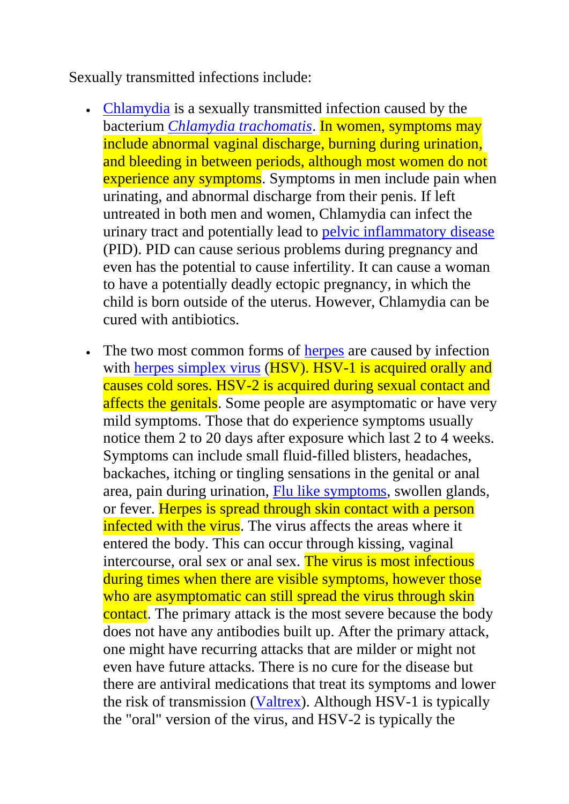Sexually transmitted infections include:

- [Chlamydia](http://en.wikipedia.org/wiki/Chlamydia_infection) is a sexually transmitted infection caused by the bacterium *[Chlamydia trachomatis](http://en.wikipedia.org/wiki/Chlamydia_trachomatis)*. In women, symptoms may include abnormal vaginal discharge, burning during urination, and bleeding in between periods, although most women do not experience any symptoms. Symptoms in men include pain when urinating, and abnormal discharge from their penis. If left untreated in both men and women, Chlamydia can infect the urinary tract and potentially lead to [pelvic inflammatory disease](http://en.wikipedia.org/wiki/Pelvic_inflammatory_disease) (PID). PID can cause serious problems during pregnancy and even has the potential to cause infertility. It can cause a woman to have a potentially deadly ectopic pregnancy, in which the child is born outside of the uterus. However, Chlamydia can be cured with antibiotics.
- The two most common forms of [herpes](http://en.wikipedia.org/wiki/Herpes) are caused by infection with [herpes simplex virus](http://en.wikipedia.org/wiki/Herpes_simplex_virus) (HSV). HSV-1 is acquired orally and causes cold sores. HSV-2 is acquired during sexual contact and affects the genitals. Some people are asymptomatic or have very mild symptoms. Those that do experience symptoms usually notice them 2 to 20 days after exposure which last 2 to 4 weeks. Symptoms can include small fluid-filled blisters, headaches, backaches, itching or tingling sensations in the genital or anal area, pain during urination, [Flu like symptoms,](http://en.wikipedia.org/wiki/Flu_like_symptoms) swollen glands, or fever. Herpes is spread through skin contact with a person infected with the virus. The virus affects the areas where it entered the body. This can occur through kissing, vaginal intercourse, oral sex or anal sex. The virus is most infectious during times when there are visible symptoms, however those who are asymptomatic can still spread the virus through skin contact. The primary attack is the most severe because the body does not have any antibodies built up. After the primary attack, one might have recurring attacks that are milder or might not even have future attacks. There is no cure for the disease but there are antiviral medications that treat its symptoms and lower the risk of transmission [\(Valtrex\)](http://en.wikipedia.org/wiki/Valaciclovir). Although HSV-1 is typically the "oral" version of the virus, and HSV-2 is typically the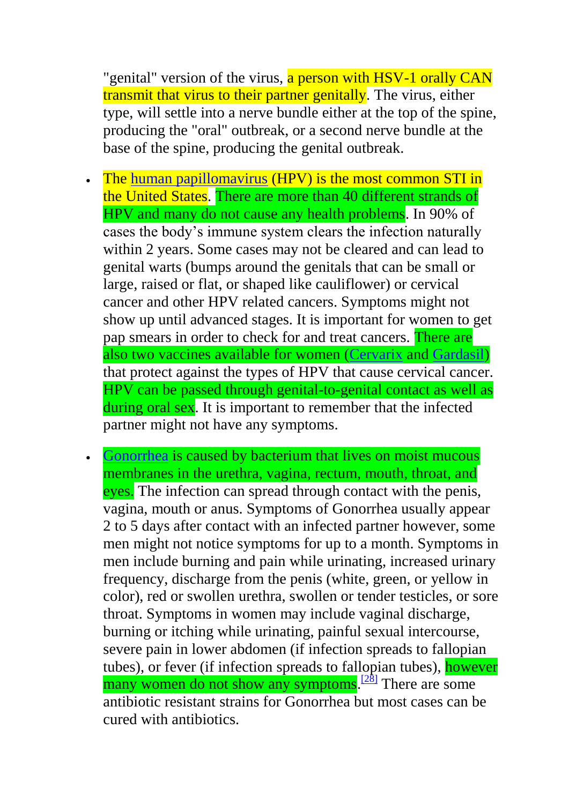"genital" version of the virus, a person with HSV-1 orally CAN transmit that virus to their partner genitally. The virus, either type, will settle into a nerve bundle either at the top of the spine, producing the "oral" outbreak, or a second nerve bundle at the base of the spine, producing the genital outbreak.

- The [human papillomavirus](http://en.wikipedia.org/wiki/Human_papillomavirus) (HPV) is the most common STI in the United States. There are more than 40 different strands of HPV and many do not cause any health problems. In 90% of cases the body's immune system clears the infection naturally within 2 years. Some cases may not be cleared and can lead to genital warts (bumps around the genitals that can be small or large, raised or flat, or shaped like cauliflower) or cervical cancer and other HPV related cancers. Symptoms might not show up until advanced stages. It is important for women to get pap smears in order to check for and treat cancers. There are also two vaccines available for women [\(Cervarix](http://en.wikipedia.org/wiki/Cervarix) and [Gardasil\)](http://en.wikipedia.org/wiki/Gardasil) that protect against the types of HPV that cause cervical cancer. HPV can be passed through genital-to-genital contact as well as during oral sex. It is important to remember that the infected partner might not have any symptoms.
- [Gonorrhea](http://en.wikipedia.org/wiki/Gonorrhea) is caused by bacterium that lives on moist mucous membranes in the urethra, vagina, rectum, mouth, throat, and eyes. The infection can spread through contact with the penis, vagina, mouth or anus. Symptoms of Gonorrhea usually appear 2 to 5 days after contact with an infected partner however, some men might not notice symptoms for up to a month. Symptoms in men include burning and pain while urinating, increased urinary frequency, discharge from the penis (white, green, or yellow in color), red or swollen urethra, swollen or tender testicles, or sore throat. Symptoms in women may include vaginal discharge, burning or itching while urinating, painful sexual intercourse, severe pain in lower abdomen (if infection spreads to fallopian tubes), or fever (if infection spreads to fallopian tubes), however many women do not show any symptoms.<sup>[\[28\]](http://en.wikipedia.org/wiki/Sexually_transmitted_disease#cite_note-28)</sup> There are some antibiotic resistant strains for Gonorrhea but most cases can be cured with antibiotics.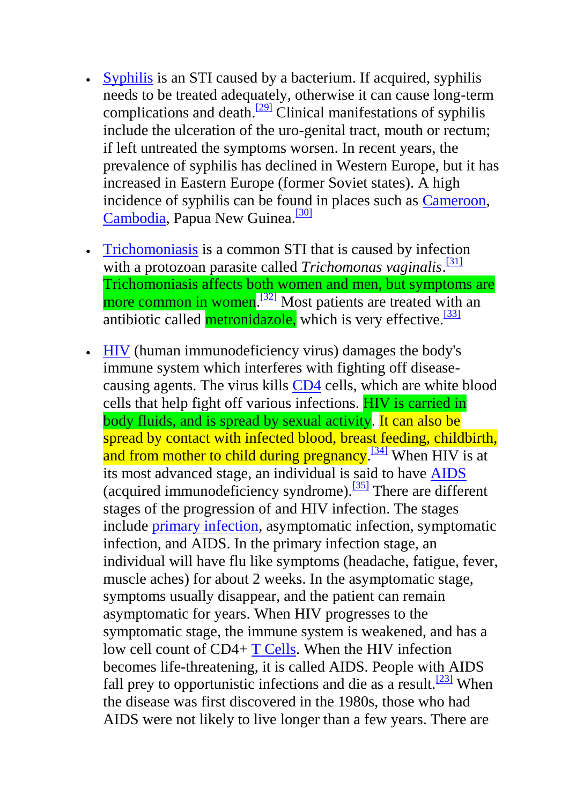- [Syphilis](http://en.wikipedia.org/wiki/Syphilis) is an STI caused by a bacterium. If acquired, syphilis needs to be treated adequately, otherwise it can cause long-term complications and death. $\frac{[29]}{[29]}$  $\frac{[29]}{[29]}$  $\frac{[29]}{[29]}$  Clinical manifestations of syphilis include the ulceration of the uro-genital tract, mouth or rectum; if left untreated the symptoms worsen. In recent years, the prevalence of syphilis has declined in Western Europe, but it has increased in Eastern Europe (former Soviet states). A high incidence of syphilis can be found in places such as [Cameroon,](http://en.wikipedia.org/wiki/Cameroon) [Cambodia,](http://en.wikipedia.org/wiki/Cambodia) Papua New Guinea.<sup>[\[30\]](http://en.wikipedia.org/wiki/Sexually_transmitted_disease#cite_note-30)</sup>
- [Trichomoniasis](http://en.wikipedia.org/wiki/Trichomoniasis) is a common STI that is caused by infection with a protozoan parasite called *Trichomonas vaginalis*. [\[31\]](http://en.wikipedia.org/wiki/Sexually_transmitted_disease#cite_note-31) Trichomoniasis affects both women and men, but symptoms are more common in women.<sup>[\[32\]](http://en.wikipedia.org/wiki/Sexually_transmitted_disease#cite_note-32)</sup> Most patients are treated with an antibiotic called **metronidazole**, which is very effective.<sup>[\[33\]](http://en.wikipedia.org/wiki/Sexually_transmitted_disease#cite_note-33)</sup>
- [HIV](http://en.wikipedia.org/wiki/HIV) (human immunodeficiency virus) damages the body's immune system which interferes with fighting off diseasecausing agents. The virus kills [CD4](http://en.wikipedia.org/wiki/CD4) cells, which are white blood cells that help fight off various infections. HIV is carried in body fluids, and is spread by sexual activity. It can also be spread by contact with infected blood, breast feeding, childbirth, and from mother to child during pregnancy.<sup>[\[34\]](http://en.wikipedia.org/wiki/Sexually_transmitted_disease#cite_note-34)</sup> When HIV is at its most advanced stage, an individual is said to have [AIDS](http://en.wikipedia.org/wiki/HIV/AIDS) (acquired immunodeficiency syndrome).<sup>[\[35\]](http://en.wikipedia.org/wiki/Sexually_transmitted_disease#cite_note-35)</sup> There are different stages of the progression of and HIV infection. The stages include [primary infection,](http://en.wikipedia.org/wiki/Acute_HIV_Infection) asymptomatic infection, symptomatic infection, and AIDS. In the primary infection stage, an individual will have flu like symptoms (headache, fatigue, fever, muscle aches) for about 2 weeks. In the asymptomatic stage, symptoms usually disappear, and the patient can remain asymptomatic for years. When HIV progresses to the symptomatic stage, the immune system is weakened, and has a low cell count of CD4+ [T Cells.](http://en.wikipedia.org/wiki/T_Cells) When the HIV infection becomes life-threatening, it is called AIDS. People with AIDS fall prey to opportunistic infections and die as a result.<sup>[\[23\]](http://en.wikipedia.org/wiki/Sexually_transmitted_disease#cite_note-King.2C_B._2009-23)</sup> When the disease was first discovered in the 1980s, those who had AIDS were not likely to live longer than a few years. There are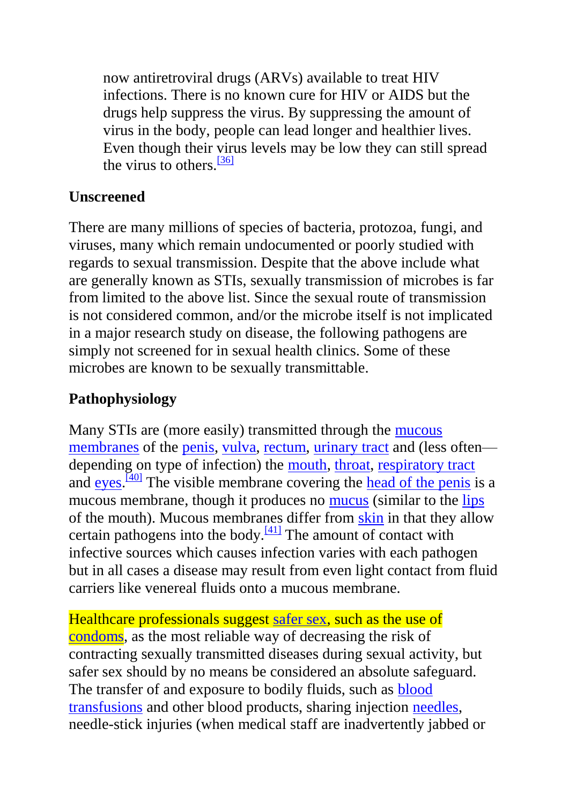now antiretroviral drugs (ARVs) available to treat HIV infections. There is no known cure for HIV or AIDS but the drugs help suppress the virus. By suppressing the amount of virus in the body, people can lead longer and healthier lives. Even though their virus levels may be low they can still spread the virus to others. $\frac{36}{136}$ 

# **Unscreened**

There are many millions of species of bacteria, protozoa, fungi, and viruses, many which remain undocumented or poorly studied with regards to sexual transmission. Despite that the above include what are generally known as STIs, sexually transmission of microbes is far from limited to the above list. Since the sexual route of transmission is not considered common, and/or the microbe itself is not implicated in a major research study on disease, the following pathogens are simply not screened for in sexual health clinics. Some of these microbes are known to be sexually transmittable.

# **Pathophysiology**

Many STIs are (more easily) transmitted through the [mucous](http://en.wikipedia.org/wiki/Mucous_membrane)  [membranes](http://en.wikipedia.org/wiki/Mucous_membrane) of the [penis,](http://en.wikipedia.org/wiki/Penis) [vulva,](http://en.wikipedia.org/wiki/Vulva) [rectum,](http://en.wikipedia.org/wiki/Rectum) [urinary tract](http://en.wikipedia.org/wiki/Urinary_tract) and (less often depending on type of infection) the [mouth,](http://en.wikipedia.org/wiki/Mouth) [throat,](http://en.wikipedia.org/wiki/Throat) [respiratory tract](http://en.wikipedia.org/wiki/Respiratory_tract) and  $\frac{e}{\text{yes}}$ .  $\frac{[40]}{100}$  $\frac{[40]}{100}$  $\frac{[40]}{100}$  The visible membrane covering the [head of the penis](http://en.wikipedia.org/wiki/Glans_penis) is a mucous membrane, though it produces no [mucus](http://en.wikipedia.org/wiki/Mucus) (similar to the [lips](http://en.wikipedia.org/wiki/Lip) of the mouth). Mucous membranes differ from [skin](http://en.wikipedia.org/wiki/Skin) in that they allow certain pathogens into the body.<sup>[\[41\]](http://en.wikipedia.org/wiki/Sexually_transmitted_disease#cite_note-41)</sup> The amount of contact with infective sources which causes infection varies with each pathogen but in all cases a disease may result from even light contact from fluid carriers like venereal fluids onto a mucous membrane.

Healthcare professionals suggest [safer sex,](http://en.wikipedia.org/wiki/Safer_sex) such as the use of [condoms,](http://en.wikipedia.org/wiki/Condoms) as the most reliable way of decreasing the risk of contracting sexually transmitted diseases during sexual activity, but safer sex should by no means be considered an absolute safeguard. The transfer of and exposure to bodily fluids, such as [blood](http://en.wikipedia.org/wiki/Blood_transfusion)  [transfusions](http://en.wikipedia.org/wiki/Blood_transfusion) and other blood products, sharing injection [needles,](http://en.wikipedia.org/wiki/Intravenous_therapy) needle-stick injuries (when medical staff are inadvertently jabbed or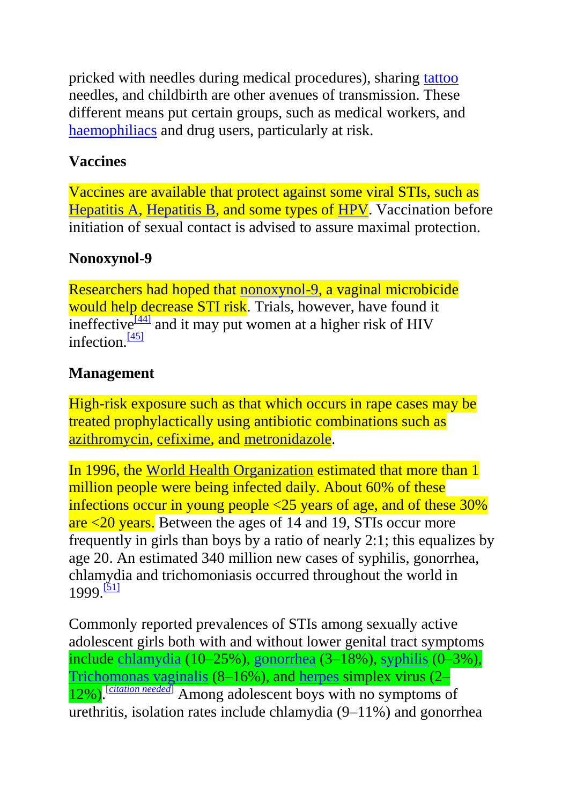pricked with needles during medical procedures), sharing [tattoo](http://en.wikipedia.org/wiki/Tattoo) needles, and childbirth are other avenues of transmission. These different means put certain groups, such as medical workers, and [haemophiliacs](http://en.wikipedia.org/wiki/Haemophilia) and drug users, particularly at risk.

### **Vaccines**

Vaccines are available that protect against some viral STIs, such as [Hepatitis A,](http://en.wikipedia.org/wiki/Hepatitis_A_vaccine) [Hepatitis B,](http://en.wikipedia.org/wiki/Hepatitis_B_vaccine) and some types of [HPV.](http://en.wikipedia.org/wiki/HPV_vaccine) Vaccination before initiation of sexual contact is advised to assure maximal protection.

# **Nonoxynol-9**

Researchers had hoped that [nonoxynol-9,](http://en.wikipedia.org/wiki/Nonoxynol-9) a vaginal microbicide would help decrease STI risk. Trials, however, have found it ineffective $\frac{[44]}{[44]}$  $\frac{[44]}{[44]}$  $\frac{[44]}{[44]}$  and it may put women at a higher risk of HIV infection. $\frac{[45]}{[45]}$  $\frac{[45]}{[45]}$  $\frac{[45]}{[45]}$ 

# **Management**

High-risk exposure such as that which occurs in rape cases may be treated prophylactically using antibiotic combinations such as [azithromycin,](http://en.wikipedia.org/wiki/Azithromycin) [cefixime,](http://en.wikipedia.org/wiki/Cefixime) and [metronidazole.](http://en.wikipedia.org/wiki/Metronidazole)

In 1996, the [World Health Organization](http://en.wikipedia.org/wiki/World_Health_Organization) estimated that more than 1 million people were being infected daily. About 60% of these infections occur in young people <25 years of age, and of these 30% are <20 years. Between the ages of 14 and 19, STIs occur more frequently in girls than boys by a ratio of nearly 2:1; this equalizes by age 20. An estimated 340 million new cases of syphilis, gonorrhea, chlamydia and trichomoniasis occurred throughout the world in 1999.<sup>[\[51\]](http://en.wikipedia.org/wiki/Sexually_transmitted_disease#cite_note-51)</sup>

Commonly reported prevalences of STIs among sexually active adolescent girls both with and without lower genital tract symptoms include [chlamydia](http://en.wikipedia.org/wiki/Chlamydia_infection) (10–25%), [gonorrhea](http://en.wikipedia.org/wiki/Gonorrhea) (3–18%), [syphilis](http://en.wikipedia.org/wiki/Syphilis) (0–3%), [Trichomonas vaginalis](http://en.wikipedia.org/wiki/Trichomonas_vaginalis) (8–16%), and [herpes](http://en.wikipedia.org/wiki/Herpes) simplex virus (2– 12%). [*[citation needed](http://en.wikipedia.org/wiki/Wikipedia:Citation_needed)*] Among adolescent boys with no symptoms of urethritis, isolation rates include chlamydia (9–11%) and gonorrhea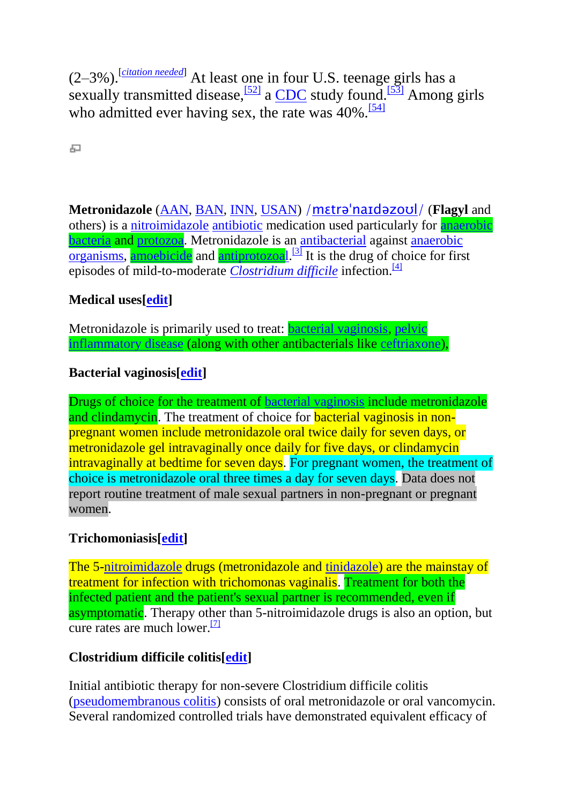(2–3%).[*[citation needed](http://en.wikipedia.org/wiki/Wikipedia:Citation_needed)*] At least one in four U.S. teenage girls has a sexually transmitted disease,  $\frac{521}{2}$  a [CDC](http://en.wikipedia.org/wiki/Centers_for_Disease_Control_and_Prevention) study found.<sup>[\[53\]](http://en.wikipedia.org/wiki/Sexually_transmitted_disease#cite_note-53)</sup> Among girls who admitted ever having sex, the rate was  $40\%$ .<sup>[\[54\]](http://en.wikipedia.org/wiki/Sexually_transmitted_disease#cite_note-54)</sup>

문

**Metronidazole** [\(AAN,](http://en.wikipedia.org/wiki/Australian_Approved_Name) [BAN,](http://en.wikipedia.org/wiki/British_Approved_Name) [INN,](http://en.wikipedia.org/wiki/International_Nonproprietary_Name) [USAN\)](http://en.wikipedia.org/wiki/United_States_Adopted_Name) [/m](http://en.wikipedia.org/wiki/Help:IPA_for_English)[ɛ](http://en.wikipedia.org/wiki/Help:IPA_for_English#Key)[tr](http://en.wikipedia.org/wiki/Help:IPA_for_English#Key)[əˈ](http://en.wikipedia.org/wiki/Help:IPA_for_English#Key)[n](http://en.wikipedia.org/wiki/Help:IPA_for_English#Key)[aɪ](http://en.wikipedia.org/wiki/Help:IPA_for_English#Key)[d](http://en.wikipedia.org/wiki/Help:IPA_for_English#Key)[ə](http://en.wikipedia.org/wiki/Help:IPA_for_English#Key)[z](http://en.wikipedia.org/wiki/Help:IPA_for_English#Key)[oʊ](http://en.wikipedia.org/wiki/Help:IPA_for_English#Key)[l](http://en.wikipedia.org/wiki/Help:IPA_for_English#Key)[/](http://en.wikipedia.org/wiki/Help:IPA_for_English) (**Flagyl** and others) is a [nitroimidazole](http://en.wikipedia.org/wiki/Nitroimidazole) [antibiotic](http://en.wikipedia.org/wiki/Antibiotic) medication used particularly for [anaerobic](http://en.wikipedia.org/wiki/Anaerobe) [bacteria](http://en.wikipedia.org/wiki/Bacterium) and [protozoa.](http://en.wikipedia.org/wiki/Protozoa) Metronidazole is an [antibacterial](http://en.wikipedia.org/wiki/Antibacterial) against [anaerobic](http://en.wikipedia.org/wiki/Anaerobic_organisms)   $\alpha$  [organisms,](http://en.wikipedia.org/wiki/Anaerobic_organisms) [amoebicide](http://en.wikipedia.org/wiki/Amoebicide) and [antiprotozoal.](http://en.wikipedia.org/wiki/Antiprotozoal)<sup>[\[3\]](http://en.wikipedia.org/wiki/Metronidazole#cite_note-monograph-3)</sup> It is the drug of choice for first episodes of mild-to-moderate *[Clostridium difficile](http://en.wikipedia.org/wiki/Clostridium_difficile)* infection.<sup>[\[4\]](http://en.wikipedia.org/wiki/Metronidazole#cite_note-4)</sup>

#### **Medical uses[\[edit\]](http://en.wikipedia.org/w/index.php?title=Metronidazole&action=edit§ion=1)**

Metronidazole is primarily used to treat: [bacterial vaginosis,](http://en.wikipedia.org/wiki/Bacterial_vaginosis) [pelvic](http://en.wikipedia.org/wiki/Pelvic_inflammatory_disease)  [inflammatory disease](http://en.wikipedia.org/wiki/Pelvic_inflammatory_disease) (along with other antibacterials like [ceftriaxone\)](http://en.wikipedia.org/wiki/Ceftriaxone),

#### **Bacterial vaginosis[\[edit\]](http://en.wikipedia.org/w/index.php?title=Metronidazole&action=edit§ion=2)**

Drugs of choice for the treatment of [bacterial vaginosis](http://en.wikipedia.org/wiki/Bacterial_vaginosis) include metronidazole and clindamycin. The treatment of choice for **bacterial vaginosis in non**pregnant women include metronidazole oral twice daily for seven days, or metronidazole gel intravaginally once daily for five days, or clindamycin intravaginally at bedtime for seven days. For pregnant women, the treatment of choice is metronidazole oral three times a day for seven days. Data does not report routine treatment of male sexual partners in non-pregnant or pregnant women.

#### **Trichomoniasis[\[edit\]](http://en.wikipedia.org/w/index.php?title=Metronidazole&action=edit§ion=3)**

The 5[-nitroimidazole](http://en.wikipedia.org/wiki/Nitroimidazole) drugs (metronidazole and [tinidazole\)](http://en.wikipedia.org/wiki/Tinidazole) are the mainstay of treatment for infection with trichomonas vaginalis. Treatment for both the infected patient and the patient's sexual partner is recommended, even if asymptomatic. Therapy other than 5-nitroimidazole drugs is also an option, but cure rates are much lower. $\frac{7}{2}$ 

#### **Clostridium difficile colitis[\[edit\]](http://en.wikipedia.org/w/index.php?title=Metronidazole&action=edit§ion=4)**

Initial antibiotic therapy for non-severe Clostridium difficile colitis [\(pseudomembranous colitis\)](http://en.wikipedia.org/wiki/Pseudomembranous_colitis) consists of oral metronidazole or oral vancomycin. Several randomized controlled trials have demonstrated equivalent efficacy of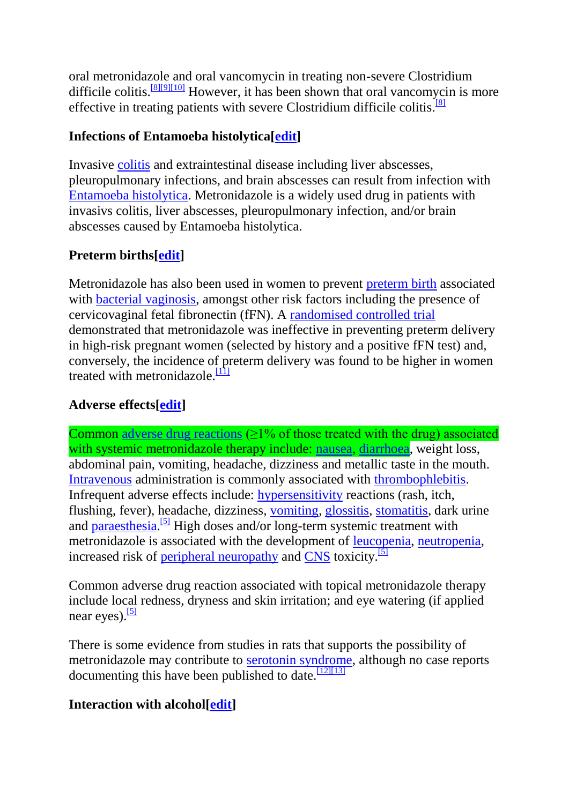oral metronidazole and oral vancomycin in treating non-severe Clostridium difficile colitis.[\[8\]\[9\]](http://en.wikipedia.org/wiki/Metronidazole#cite_note-Zar-8)[\[10\]](http://en.wikipedia.org/wiki/Metronidazole#cite_note-Teasley1983-10) However, it has been shown that oral vancomycin is more effective in treating patients with severe Clostridium difficile colitis.<sup>[\[8\]](http://en.wikipedia.org/wiki/Metronidazole#cite_note-Zar-8)</sup>

#### **Infections of Entamoeba histolytica[\[edit\]](http://en.wikipedia.org/w/index.php?title=Metronidazole&action=edit§ion=5)**

Invasive [colitis](http://en.wikipedia.org/wiki/Colitis) and extraintestinal disease including liver abscesses, pleuropulmonary infections, and brain abscesses can result from infection with [Entamoeba histolytica.](http://en.wikipedia.org/wiki/Entamoeba_histolytica) Metronidazole is a widely used drug in patients with invasivs colitis, liver abscesses, pleuropulmonary infection, and/or brain abscesses caused by Entamoeba histolytica.

### **Preterm births[\[edit\]](http://en.wikipedia.org/w/index.php?title=Metronidazole&action=edit§ion=6)**

Metronidazole has also been used in women to prevent [preterm birth](http://en.wikipedia.org/wiki/Preterm_birth) associated with [bacterial vaginosis,](http://en.wikipedia.org/wiki/Bacterial_vaginosis) amongst other risk factors including the presence of cervicovaginal fetal fibronectin (fFN). A [randomised controlled trial](http://en.wikipedia.org/wiki/Randomised_controlled_trial) demonstrated that metronidazole was ineffective in preventing preterm delivery in high-risk pregnant women (selected by history and a positive fFN test) and, conversely, the incidence of preterm delivery was found to be higher in women treated with metronidazole. $\frac{111}{11}$ 

### **Adverse effects[\[edit\]](http://en.wikipedia.org/w/index.php?title=Metronidazole&action=edit§ion=7)**

Common [adverse drug reactions](http://en.wikipedia.org/wiki/Adverse_drug_reaction)  $(≥1%$  of those treated with the drug) associated with systemic metronidazole therapy include: [nausea,](http://en.wikipedia.org/wiki/Nausea) [diarrhoea,](http://en.wikipedia.org/wiki/Diarrhoea) weight loss, abdominal pain, vomiting, headache, dizziness and metallic taste in the mouth. [Intravenous](http://en.wikipedia.org/wiki/Intravenous) administration is commonly associated with [thrombophlebitis.](http://en.wikipedia.org/wiki/Thrombophlebitis) Infrequent adverse effects include: [hypersensitivity](http://en.wikipedia.org/wiki/Hypersensitivity) reactions (rash, itch, flushing, fever), headache, dizziness, [vomiting,](http://en.wikipedia.org/wiki/Vomiting) [glossitis,](http://en.wikipedia.org/wiki/Glossitis) [stomatitis,](http://en.wikipedia.org/wiki/Stomatitis) dark urine and **paraesthesia**.<sup>[\[5\]](http://en.wikipedia.org/wiki/Metronidazole#cite_note-AMH-5)</sup> High doses and/or long-term systemic treatment with metronidazole is associated with the development of [leucopenia,](http://en.wikipedia.org/wiki/Leucopenia) [neutropenia,](http://en.wikipedia.org/wiki/Neutropenia) increased risk of [peripheral neuropathy](http://en.wikipedia.org/wiki/Peripheral_neuropathy) and [CNS](http://en.wikipedia.org/wiki/Central_nervous_system) toxicity.<sup>[\[5\]](http://en.wikipedia.org/wiki/Metronidazole#cite_note-AMH-5)</sup>

Common adverse drug reaction associated with topical metronidazole therapy include local redness, dryness and skin irritation; and eye watering (if applied near eyes). $\frac{5}{15}$ 

There is some evidence from studies in rats that supports the possibility of metronidazole may contribute to **serotonin** syndrome, although no case reports documenting this have been published to date.  $\frac{[12][13]}{[12][13]}$  $\frac{[12][13]}{[12][13]}$  $\frac{[12][13]}{[12][13]}$ 

#### **Interaction with alcohol[\[edit\]](http://en.wikipedia.org/w/index.php?title=Metronidazole&action=edit§ion=9)**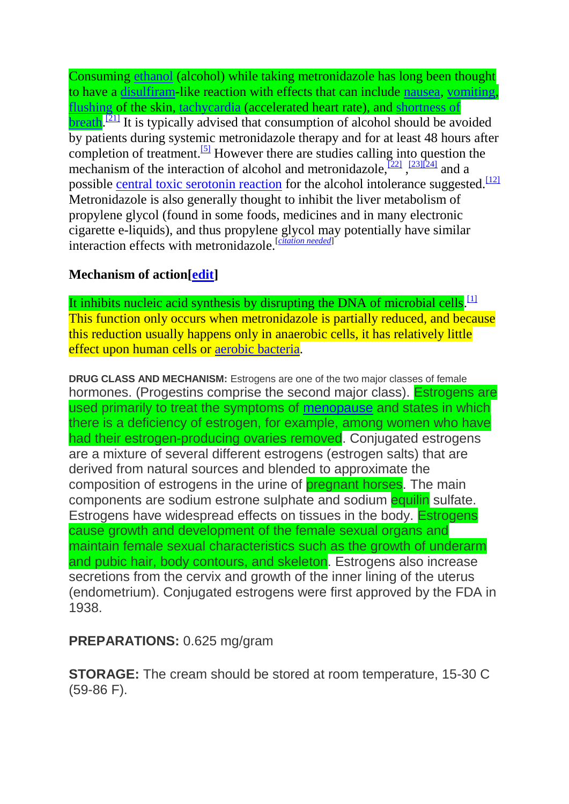Consuming [ethanol](http://en.wikipedia.org/wiki/Ethanol) (alcohol) while taking metronidazole has long been thought to have a [disulfiram-](http://en.wikipedia.org/wiki/Disulfiram)like reaction with effects that can include [nausea,](http://en.wikipedia.org/wiki/Nausea) [vomiting,](http://en.wikipedia.org/wiki/Vomiting) [flushing](http://en.wikipedia.org/wiki/Flushing_(physiology)) of the skin, [tachycardia](http://en.wikipedia.org/wiki/Tachycardia) (accelerated heart rate), and [shortness of](http://en.wikipedia.org/wiki/Shortness_of_breath)   $b$ reath.<sup>[\[21\]](http://en.wikipedia.org/wiki/Metronidazole#cite_note-cina-21)</sup> It is typically advised that consumption of alcohol should be avoided by patients during systemic metronidazole therapy and for at least 48 hours after completion of treatment.<sup>[\[5\]](http://en.wikipedia.org/wiki/Metronidazole#cite_note-AMH-5)</sup> However there are studies calling into question the mechanism of the interaction of alcohol and metronidazole,  $\frac{[22]}{23}$  $\frac{[22]}{23}$  $\frac{[22]}{23}$ ,  $\frac{[23][24]}{24}$  $\frac{[23][24]}{24}$  $\frac{[23][24]}{24}$  and a possible [central toxic serotonin reaction](http://en.wikipedia.org/wiki/Serotonin_toxicity) for the alcohol intolerance suggested.<sup>[\[12\]](http://en.wikipedia.org/wiki/Metronidazole#cite_note-pmid17963129-12)</sup> Metronidazole is also generally thought to inhibit the liver metabolism of propylene glycol (found in some foods, medicines and in many electronic cigarette e-liquids), and thus propylene glycol may potentially have similar interaction effects with metronidazole.[*[citation needed](http://en.wikipedia.org/wiki/Wikipedia:Citation_needed)*]

### **Mechanism of action[\[edit\]](http://en.wikipedia.org/w/index.php?title=Metronidazole&action=edit§ion=12)**

It inhibits nucleic acid synthesis by disrupting the DNA of microbial cells.  $[1]$ This function only occurs when metronidazole is partially reduced, and because this reduction usually happens only in anaerobic cells, it has relatively little effect upon human cells or [aerobic bacteria.](http://en.wikipedia.org/wiki/Aerobic_bacteria)

**DRUG CLASS AND MECHANISM:** Estrogens are one of the two major classes of female hormones. (Progestins comprise the second major class). Estrogens are used primarily to treat the symptoms of [menopause](http://www.medicinenet.com/menopause/article.htm) and states in which there is a deficiency of estrogen, for example, among women who have had their estrogen-producing ovaries removed. Conjugated estrogens are a mixture of several different estrogens (estrogen salts) that are derived from natural sources and blended to approximate the composition of estrogens in the urine of pregnant horses. The main components are sodium estrone sulphate and sodium equilin sulfate. Estrogens have widespread effects on tissues in the body. Estrogens cause growth and development of the female sexual organs and maintain female sexual characteristics such as the growth of underarm and pubic hair, body contours, and skeleton. Estrogens also increase secretions from the cervix and growth of the inner lining of the uterus (endometrium). Conjugated estrogens were first approved by the FDA in 1938.

### **PREPARATIONS:** 0.625 mg/gram

**STORAGE:** The cream should be stored at room temperature, 15-30 C (59-86 F).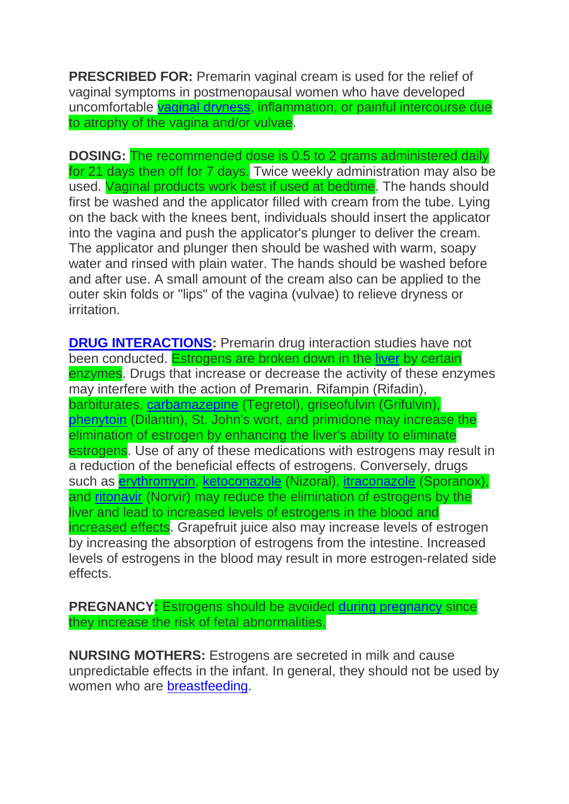**PRESCRIBED FOR:** Premarin vaginal cream is used for the relief of vaginal symptoms in postmenopausal women who have developed uncomfortable [vaginal dryness,](http://www.medicinenet.com/vaginal_dryness_and_vaginal_atrophy/article.htm) inflammation, or painful intercourse due to atrophy of the vagina and/or vulvae.

**DOSING:** The recommended dose is 0.5 to 2 grams administered daily for 21 days then off for 7 days. Twice weekly administration may also be used. Vaginal products work best if used at bedtime. The hands should first be washed and the applicator filled with cream from the tube. Lying on the back with the knees bent, individuals should insert the applicator into the vagina and push the applicator's plunger to deliver the cream. The applicator and plunger then should be washed with warm, soapy water and rinsed with plain water. The hands should be washed before and after use. A small amount of the cream also can be applied to the outer skin folds or "lips" of the vagina (vulvae) to relieve dryness or irritation.

**[DRUG INTERACTIONS:](http://www.medicinenet.com/drug_interactions/article.htm)** Premarin drug interaction studies have not been conducted. Estrogens are broken down in the [liver](http://www.onhealth.com/liver/article.htm) by certain enzymes. Drugs that increase or decrease the activity of these enzymes may interfere with the action of Premarin. Rifampin (Rifadin), barbiturates, [carbamazepine](http://www.medicinenet.com/carbamazepine/article.htm) (Tegretol), griseofulvin (Grifulvin), [phenytoin](http://www.medicinenet.com/phenytoin/article.htm) (Dilantin), St. John's wort, and primidone may increase the elimination of estrogen by enhancing the liver's ability to eliminate estrogens. Use of any of these medications with estrogens may result in a reduction of the beneficial effects of estrogens. Conversely, drugs such as **erythromycin, [ketoconazole](http://www.medicinenet.com/ketoconazole/article.htm)** (Nizoral), *itraconazole* (Sporanox), and [ritonavir](http://www.medicinenet.com/ritonavir/article.htm) (Norvir) may reduce the elimination of estrogens by the liver and lead to increased levels of estrogens in the blood and increased effects. Grapefruit juice also may increase levels of estrogen by increasing the absorption of estrogens from the intestine. Increased levels of estrogens in the blood may result in more estrogen-related side effects.

**PREGNANCY: Estrogens should be avoided [during pregnancy](http://www.medicinenet.com/pregnancy/article.htm) since** they increase the risk of fetal abnormalities.

**NURSING MOTHERS:** Estrogens are secreted in milk and cause unpredictable effects in the infant. In general, they should not be used by women who are [breastfeeding.](http://www.medicinenet.com/breastfeeding/article.htm)